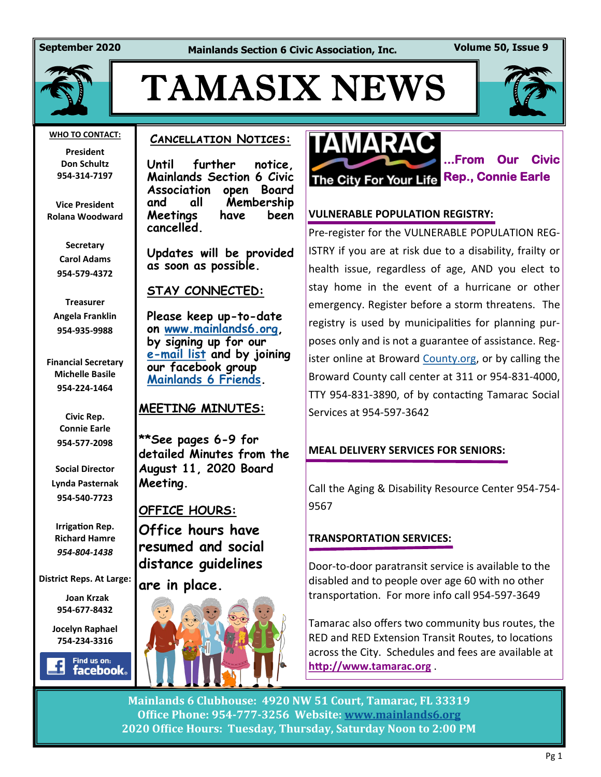**September 2020 Mainlands Section 6 Civic Association, Inc. Volume 50, Issue 9**



# TAMASIX NEWS



#### **WHO TO CONTACT:**

**President Don Schultz 954-314-7197**

**Vice President Rolana Woodward**

> **Secretary Carol Adams 954-579-4372**

**Treasurer Angela Franklin 954-935-9988**

**Financial Secretary Michelle Basile 954-224-1464**

> **Civic Rep. Connie Earle 954-577-2098**

**Social Director Lynda Pasternak 954-540-7723**

**Irrigation Rep. Richard Hamre** *954-804-1438*

**District Reps. At Large:**

 **Joan Krzak 954-677-8432**

**Jocelyn Raphael 754-234-3316** 

Find us on: **facebook** 

### **Cancellation Notices:**

**Until further notice, Mainlands Section 6 Civic Association open Board and all Membership Meetings have been cancelled.** 

**Updates will be provided as soon as possible.** 

**STAY CONNECTED:**

**Please keep up-to-date on [www.mainlands6.org,](http://www.mainlands6.org) by signing up for our e-[mail list](http://www.mainlands6.org/?page_id=985) and by joining our facebook group [Mainlands 6 Friends.](https://www.facebook.com/groups/964627830373018/)**

### **MEETING MINUTES:**

**\*\*See pages 6-9 for detailed Minutes from the August 11, 2020 Board Meeting.**

### **OFFICE HOURS:**

**Office hours have resumed and social distance guidelines are in place.**





**...From Our Civic** 

### **VULNERABLE POPULATION REGISTRY:**

Pre-register for the VULNERABLE POPULATION REG-ISTRY if you are at risk due to a disability, frailty or health issue, regardless of age, AND you elect to stay home in the event of a hurricane or other emergency. Register before a storm threatens. The registry is used by municipalities for planning purposes only and is not a guarantee of assistance. Reg-ister online at Broward [County.org,](http://county.org/) or by calling the Broward County call center at 311 or 954-831-4000, TTY 954-831-3890, of by contacting Tamarac Social Services at 954-597-3642

### **MEAL DELIVERY SERVICES FOR SENIORS:**

Call the Aging & Disability Resource Center 954-754- 9567

### **TRANSPORTATION SERVICES:**

Door-to-door paratransit service is available to the disabled and to people over age 60 with no other transportation. For more info call 954-597-3649

Tamarac also offers two community bus routes, the RED and RED Extension Transit Routes, to locations across the City. Schedules and fees are available at **<http://www.tamarac.org>** .

**Mainlands 6 Clubhouse: 4920 NW 51 Court, Tamarac, FL 33319 Office Phone: 954-777-3256 Website: [www.mainlands6.org](http://www.mainlands6.org) 2020 Office Hours: Tuesday, Thursday, Saturday Noon to 2:00 PM**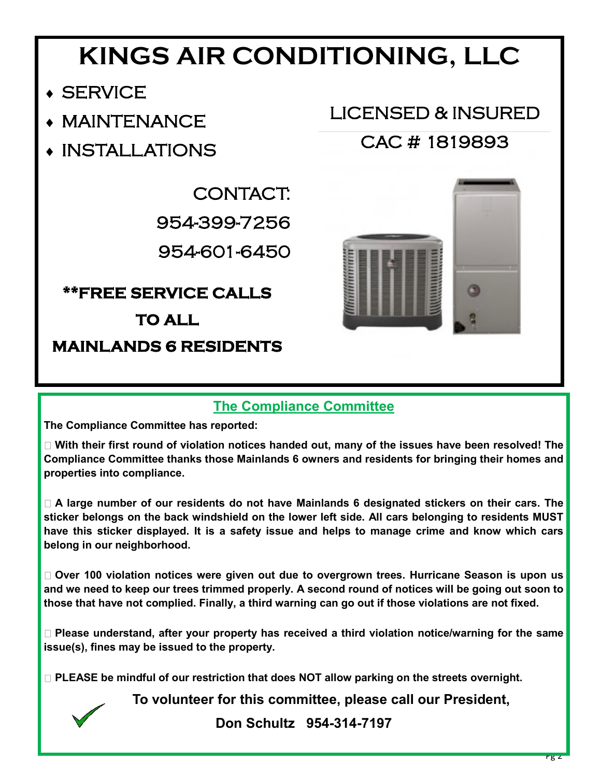# **KINGS AIR CONDITIONING, LLC**

LICENSED & INSURED

CAC # 1819893

- SERVICE
- MAINTENANCE
- INSTALLATIONS

CONTACT: 954-399-7256 954-601-6450

**\*\*FREE SERVICE CALLS** 

## **TO ALL**

**MAINLANDS 6 RESIDENTS** 

### **The Compliance Committee**

**The Compliance Committee has reported:** 

**With their first round of violation notices handed out, many of the issues have been resolved! The Compliance Committee thanks those Mainlands 6 owners and residents for bringing their homes and properties into compliance.** 

**A large number of our residents do not have Mainlands 6 designated stickers on their cars. The sticker belongs on the back windshield on the lower left side. All cars belonging to residents MUST have this sticker displayed. It is a safety issue and helps to manage crime and know which cars belong in our neighborhood.** 

**Over 100 violation notices were given out due to overgrown trees. Hurricane Season is upon us and we need to keep our trees trimmed properly. A second round of notices will be going out soon to those that have not complied. Finally, a third warning can go out if those violations are not fixed.** 

**Please understand, after your property has received a third violation notice/warning for the same issue(s), fines may be issued to the property.** 

□ PLEASE be mindful of our restriction that does NOT allow parking on the streets overnight.

**To volunteer for this committee, please call our President,** 

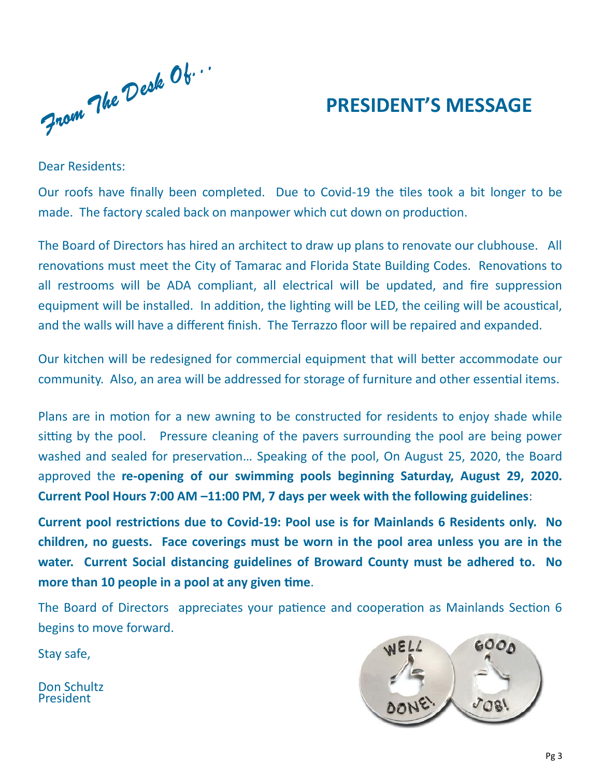From The Desk Ob...

# **PRESIDENT'S MESSAGE**

Dear Residents:

Our roofs have finally been completed. Due to Covid-19 the tiles took a bit longer to be made. The factory scaled back on manpower which cut down on production.

The Board of Directors has hired an architect to draw up plans to renovate our clubhouse. All renovations must meet the City of Tamarac and Florida State Building Codes. Renovations to all restrooms will be ADA compliant, all electrical will be updated, and fire suppression equipment will be installed. In addition, the lighting will be LED, the ceiling will be acoustical, and the walls will have a different finish. The Terrazzo floor will be repaired and expanded.

Our kitchen will be redesigned for commercial equipment that will better accommodate our community. Also, an area will be addressed for storage of furniture and other essential items.

Plans are in motion for a new awning to be constructed for residents to enjoy shade while sitting by the pool. Pressure cleaning of the pavers surrounding the pool are being power washed and sealed for preservation… Speaking of the pool, On August 25, 2020, the Board approved the **re-opening of our swimming pools beginning Saturday, August 29, 2020. Current Pool Hours 7:00 AM –11:00 PM, 7 days per week with the following guidelines**:

**Current pool restrictions due to Covid-19: Pool use is for Mainlands 6 Residents only. No children, no guests. Face coverings must be worn in the pool area unless you are in the water. Current Social distancing guidelines of Broward County must be adhered to. No more than 10 people in a pool at any given time**.

The Board of Directors appreciates your patience and cooperation as Mainlands Section 6 begins to move forward.

Stay safe,

Don Schultz President

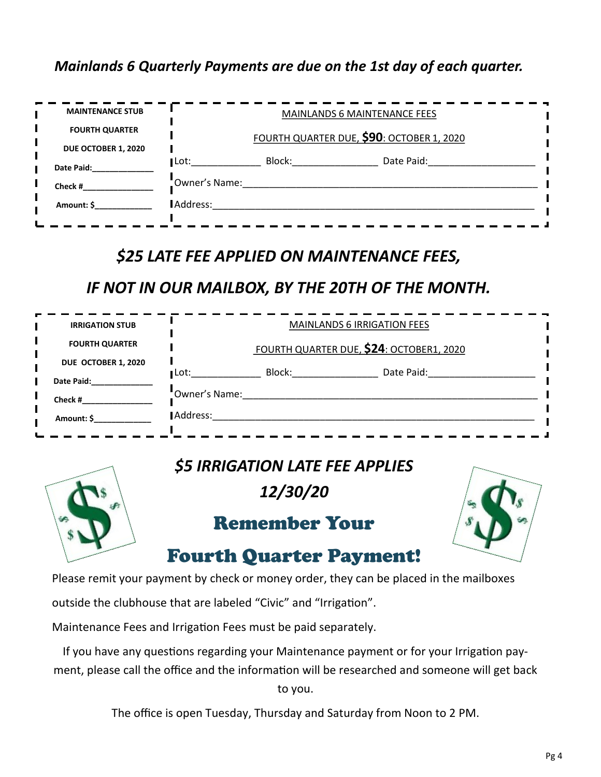### *Mainlands 6 Quarterly Payments are due on the 1st day of each quarter.*

| <b>MAINTENANCE STUB</b> |               | <b>MAINLANDS 6 MAINTENANCE FEES</b>       |            |  |  |  |  |  |
|-------------------------|---------------|-------------------------------------------|------------|--|--|--|--|--|
| <b>FOURTH QUARTER</b>   |               | FOURTH QUARTER DUE, \$90: OCTOBER 1, 2020 |            |  |  |  |  |  |
| DUE OCTOBER 1, 2020     |               |                                           |            |  |  |  |  |  |
| Date Paid:              | ∎Lot:         | Block:                                    | Date Paid: |  |  |  |  |  |
| Check #                 | Owner's Name: |                                           |            |  |  |  |  |  |
| Amount: \$              | Address:      |                                           |            |  |  |  |  |  |

## *\$25 LATE FEE APPLIED ON MAINTENANCE FEES,*

### *IF NOT IN OUR MAILBOX, BY THE 20TH OF THE MONTH.*

| <b>IRRIGATION STUB</b> | <b>MAINLANDS 6 IRRIGATION FEES</b>       |  |  |  |  |  |  |
|------------------------|------------------------------------------|--|--|--|--|--|--|
| <b>FOURTH QUARTER</b>  | FOURTH QUARTER DUE, \$24: OCTOBER1, 2020 |  |  |  |  |  |  |
| DUE OCTOBER 1, 2020    | Block:<br>Date Paid:<br>∎Lot:            |  |  |  |  |  |  |
| Date Paid:             | "Owner's Name:                           |  |  |  |  |  |  |
| Check #                |                                          |  |  |  |  |  |  |
| Amount: \$             | Address:                                 |  |  |  |  |  |  |



## *\$5 IRRIGATION LATE FEE APPLIES*

*12/30/20*

# Remember Your



# Fourth Quarter Payment!

Please remit your payment by check or money order, they can be placed in the mailboxes

outside the clubhouse that are labeled "Civic" and "Irrigation".

Maintenance Fees and Irrigation Fees must be paid separately.

If you have any questions regarding your Maintenance payment or for your Irrigation payment, please call the office and the information will be researched and someone will get back to you.

The office is open Tuesday, Thursday and Saturday from Noon to 2 PM.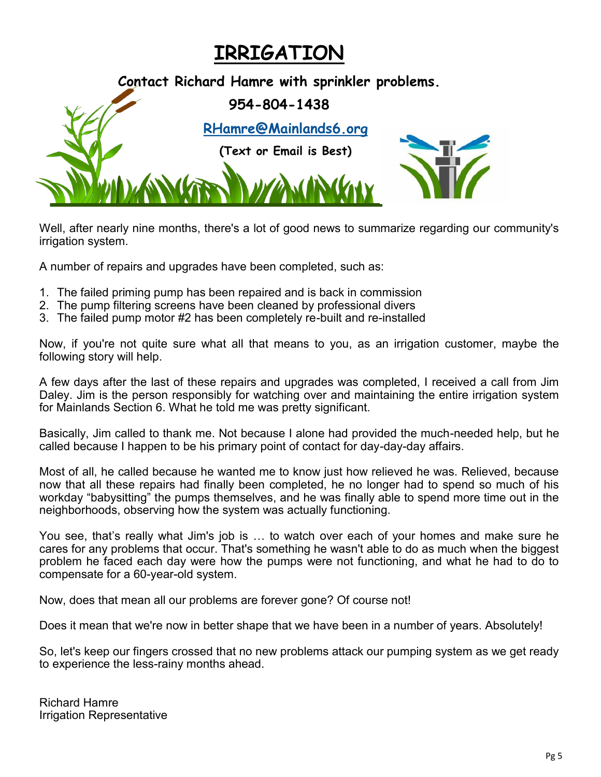# **IRRIGATION**

**Contact Richard Hamre with sprinkler problems. 954-804-1438 [RHamre@Mainlands6.org](mailto:RHamre@Mainlands6.org?subject=Mainlands%206%20Irrigation) (Text or Email is Best)**

Well, after nearly nine months, there's a lot of good news to summarize regarding our community's irrigation system.

A number of repairs and upgrades have been completed, such as:

- 1. The failed priming pump has been repaired and is back in commission
- 2. The pump filtering screens have been cleaned by professional divers
- 3. The failed pump motor #2 has been completely re-built and re-installed

Now, if you're not quite sure what all that means to you, as an irrigation customer, maybe the following story will help.

A few days after the last of these repairs and upgrades was completed, I received a call from Jim Daley. Jim is the person responsibly for watching over and maintaining the entire irrigation system for Mainlands Section 6. What he told me was pretty significant.

Basically, Jim called to thank me. Not because I alone had provided the much-needed help, but he called because I happen to be his primary point of contact for day-day-day affairs.

Most of all, he called because he wanted me to know just how relieved he was. Relieved, because now that all these repairs had finally been completed, he no longer had to spend so much of his workday "babysitting" the pumps themselves, and he was finally able to spend more time out in the neighborhoods, observing how the system was actually functioning.

You see, that's really what Jim's job is … to watch over each of your homes and make sure he cares for any problems that occur. That's something he wasn't able to do as much when the biggest problem he faced each day were how the pumps were not functioning, and what he had to do to compensate for a 60-year-old system.

Now, does that mean all our problems are forever gone? Of course not!

Does it mean that we're now in better shape that we have been in a number of years. Absolutely!

So, let's keep our fingers crossed that no new problems attack our pumping system as we get ready to experience the less-rainy months ahead.

Richard Hamre Irrigation Representative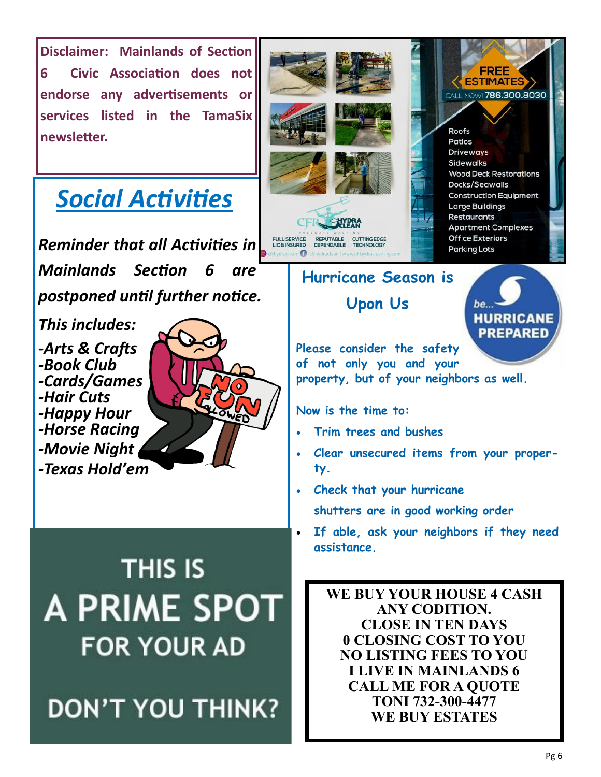

# *Social Activities*

*Reminder that all Activities in Mainlands Section 6 are postponed until further notice.* 

*This includes: -Arts & Crafts -Book Club -Cards/Games -Hair Cuts -Happy Hour -Horse Racing -Movie Night -Texas Hold'em*



**THIS IS A PRIME SPOT FOR YOUR AD** 





# **Hurricane Season is**

**Upon Us**



**Please consider the safety of not only you and your property, but of your neighbors as well.** 

**Now is the time to:** 

- **Trim trees and bushes**
- **Clear unsecured items from your property.**
- **Check that your hurricane shutters are in good working order**
- **If able, ask your neighbors if they need assistance.**

**WE BUY YOUR HOUSE 4 CASH ANY CODITION. CLOSE IN TEN DAYS 0 CLOSING COST TO YOU NO LISTING FEES TO YOU I LIVE IN MAINLANDS 6 CALL ME FOR A QUOTE TONI 732-300-4477 WE BUY ESTATES**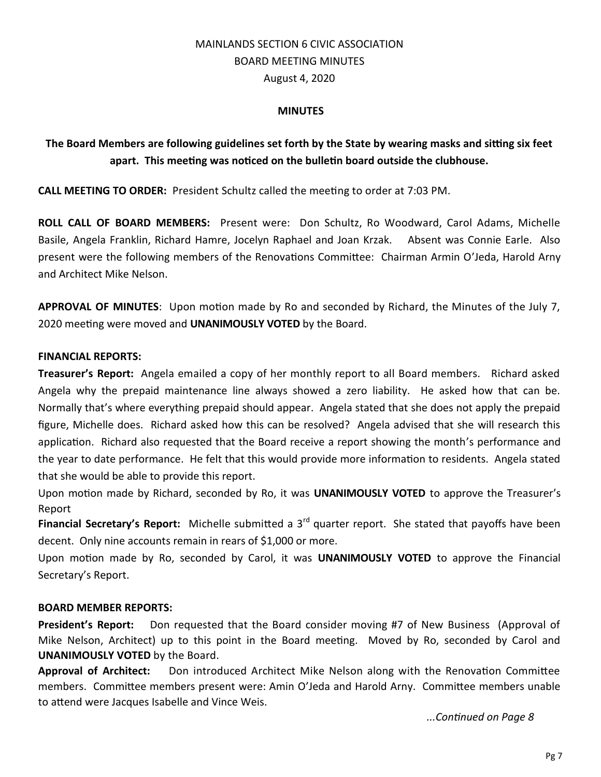### MAINLANDS SECTION 6 CIVIC ASSOCIATION BOARD MEETING MINUTES August 4, 2020

### **MINUTES**

### **The Board Members are following guidelines set forth by the State by wearing masks and sitting six feet apart. This meeting was noticed on the bulletin board outside the clubhouse.**

**CALL MEETING TO ORDER:** President Schultz called the meeting to order at 7:03 PM.

**ROLL CALL OF BOARD MEMBERS:** Present were: Don Schultz, Ro Woodward, Carol Adams, Michelle Basile, Angela Franklin, Richard Hamre, Jocelyn Raphael and Joan Krzak. Absent was Connie Earle. Also present were the following members of the Renovations Committee: Chairman Armin O'Jeda, Harold Arny and Architect Mike Nelson.

**APPROVAL OF MINUTES**: Upon motion made by Ro and seconded by Richard, the Minutes of the July 7, 2020 meeting were moved and **UNANIMOUSLY VOTED** by the Board.

### **FINANCIAL REPORTS:**

**Treasurer's Report:** Angela emailed a copy of her monthly report to all Board members. Richard asked Angela why the prepaid maintenance line always showed a zero liability. He asked how that can be. Normally that's where everything prepaid should appear. Angela stated that she does not apply the prepaid figure, Michelle does. Richard asked how this can be resolved? Angela advised that she will research this application. Richard also requested that the Board receive a report showing the month's performance and the year to date performance. He felt that this would provide more information to residents. Angela stated that she would be able to provide this report.

Upon motion made by Richard, seconded by Ro, it was **UNANIMOUSLY VOTED** to approve the Treasurer's Report

**Financial Secretary's Report:** Michelle submitted a 3<sup>rd</sup> quarter report. She stated that payoffs have been decent. Only nine accounts remain in rears of \$1,000 or more.

Upon motion made by Ro, seconded by Carol, it was **UNANIMOUSLY VOTED** to approve the Financial Secretary's Report.

### **BOARD MEMBER REPORTS:**

**President's Report:** Don requested that the Board consider moving #7 of New Business (Approval of Mike Nelson, Architect) up to this point in the Board meeting. Moved by Ro, seconded by Carol and **UNANIMOUSLY VOTED** by the Board.

**Approval of Architect:** Don introduced Architect Mike Nelson along with the Renovation Committee members. Committee members present were: Amin O'Jeda and Harold Arny. Committee members unable to attend were Jacques Isabelle and Vince Weis.

*...Continued on Page 8*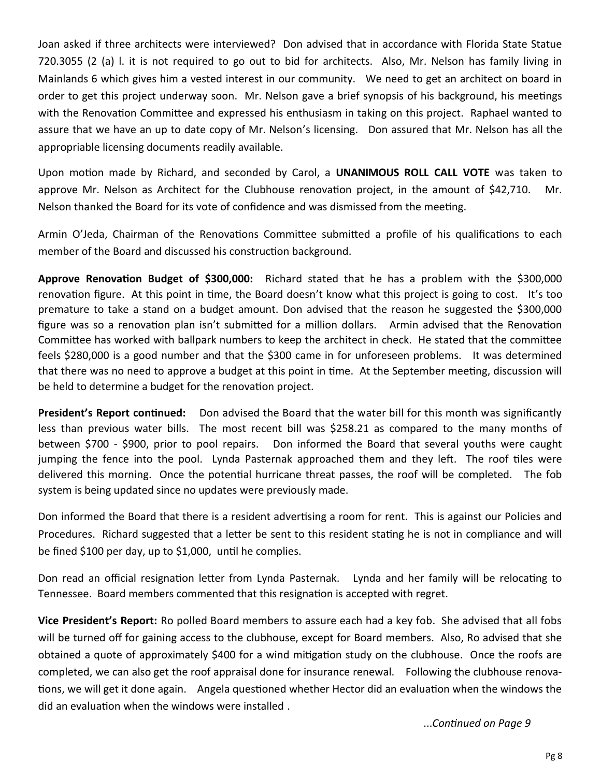Joan asked if three architects were interviewed? Don advised that in accordance with Florida State Statue 720.3055 (2 (a) l. it is not required to go out to bid for architects. Also, Mr. Nelson has family living in Mainlands 6 which gives him a vested interest in our community. We need to get an architect on board in order to get this project underway soon. Mr. Nelson gave a brief synopsis of his background, his meetings with the Renovation Committee and expressed his enthusiasm in taking on this project. Raphael wanted to assure that we have an up to date copy of Mr. Nelson's licensing. Don assured that Mr. Nelson has all the appropriable licensing documents readily available.

Upon motion made by Richard, and seconded by Carol, a **UNANIMOUS ROLL CALL VOTE** was taken to approve Mr. Nelson as Architect for the Clubhouse renovation project, in the amount of \$42,710. Mr. Nelson thanked the Board for its vote of confidence and was dismissed from the meeting.

Armin O'Jeda, Chairman of the Renovations Committee submitted a profile of his qualifications to each member of the Board and discussed his construction background.

**Approve Renovation Budget of \$300,000:** Richard stated that he has a problem with the \$300,000 renovation figure. At this point in time, the Board doesn't know what this project is going to cost. It's too premature to take a stand on a budget amount. Don advised that the reason he suggested the \$300,000 figure was so a renovation plan isn't submitted for a million dollars. Armin advised that the Renovation Committee has worked with ballpark numbers to keep the architect in check. He stated that the committee feels \$280,000 is a good number and that the \$300 came in for unforeseen problems. It was determined that there was no need to approve a budget at this point in time. At the September meeting, discussion will be held to determine a budget for the renovation project.

**President's Report continued:** Don advised the Board that the water bill for this month was significantly less than previous water bills. The most recent bill was \$258.21 as compared to the many months of between \$700 - \$900, prior to pool repairs. Don informed the Board that several youths were caught jumping the fence into the pool. Lynda Pasternak approached them and they left. The roof tiles were delivered this morning. Once the potential hurricane threat passes, the roof will be completed. The fob system is being updated since no updates were previously made.

Don informed the Board that there is a resident advertising a room for rent. This is against our Policies and Procedures. Richard suggested that a letter be sent to this resident stating he is not in compliance and will be fined \$100 per day, up to \$1,000, until he complies.

Don read an official resignation letter from Lynda Pasternak. Lynda and her family will be relocating to Tennessee. Board members commented that this resignation is accepted with regret.

**Vice President's Report:** Ro polled Board members to assure each had a key fob. She advised that all fobs will be turned off for gaining access to the clubhouse, except for Board members. Also, Ro advised that she obtained a quote of approximately \$400 for a wind mitigation study on the clubhouse. Once the roofs are completed, we can also get the roof appraisal done for insurance renewal. Following the clubhouse renovations, we will get it done again. Angela questioned whether Hector did an evaluation when the windows the did an evaluation when the windows were installed .

...*Continued on Page 9*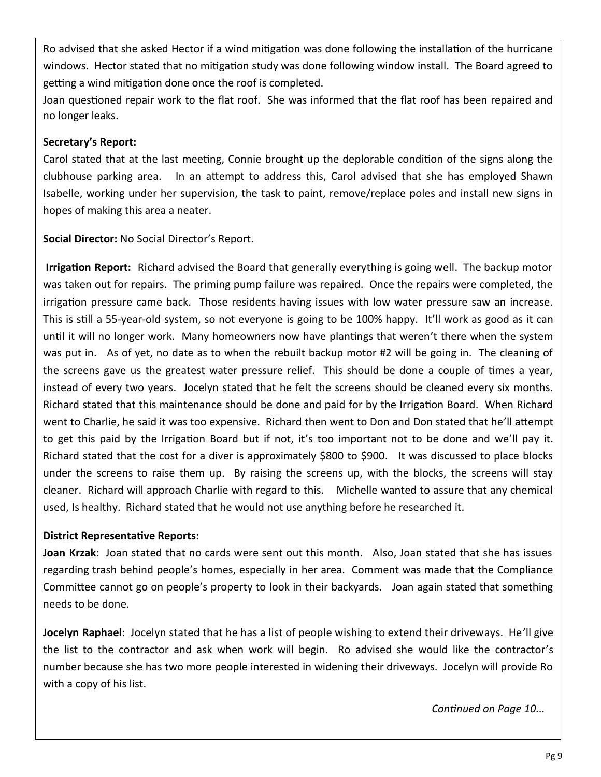Ro advised that she asked Hector if a wind mitigation was done following the installation of the hurricane windows. Hector stated that no mitigation study was done following window install. The Board agreed to getting a wind mitigation done once the roof is completed.

Joan questioned repair work to the flat roof. She was informed that the flat roof has been repaired and no longer leaks.

### **Secretary's Report:**

Carol stated that at the last meeting, Connie brought up the deplorable condition of the signs along the clubhouse parking area. In an attempt to address this, Carol advised that she has employed Shawn Isabelle, working under her supervision, the task to paint, remove/replace poles and install new signs in hopes of making this area a neater.

**Social Director:** No Social Director's Report.

**Irrigation Report:** Richard advised the Board that generally everything is going well. The backup motor was taken out for repairs. The priming pump failure was repaired. Once the repairs were completed, the irrigation pressure came back. Those residents having issues with low water pressure saw an increase. This is still a 55-year-old system, so not everyone is going to be 100% happy. It'll work as good as it can until it will no longer work. Many homeowners now have plantings that weren't there when the system was put in. As of yet, no date as to when the rebuilt backup motor #2 will be going in. The cleaning of the screens gave us the greatest water pressure relief. This should be done a couple of times a year, instead of every two years. Jocelyn stated that he felt the screens should be cleaned every six months. Richard stated that this maintenance should be done and paid for by the Irrigation Board. When Richard went to Charlie, he said it was too expensive. Richard then went to Don and Don stated that he'll attempt to get this paid by the Irrigation Board but if not, it's too important not to be done and we'll pay it. Richard stated that the cost for a diver is approximately \$800 to \$900. It was discussed to place blocks under the screens to raise them up. By raising the screens up, with the blocks, the screens will stay cleaner. Richard will approach Charlie with regard to this. Michelle wanted to assure that any chemical used, Is healthy. Richard stated that he would not use anything before he researched it.

### **District Representative Reports:**

**Joan Krzak**: Joan stated that no cards were sent out this month. Also, Joan stated that she has issues regarding trash behind people's homes, especially in her area. Comment was made that the Compliance Committee cannot go on people's property to look in their backyards. Joan again stated that something needs to be done.

**Jocelyn Raphael**: Jocelyn stated that he has a list of people wishing to extend their driveways. He'll give the list to the contractor and ask when work will begin. Ro advised she would like the contractor's number because she has two more people interested in widening their driveways. Jocelyn will provide Ro with a copy of his list.

*Continued on Page 10...*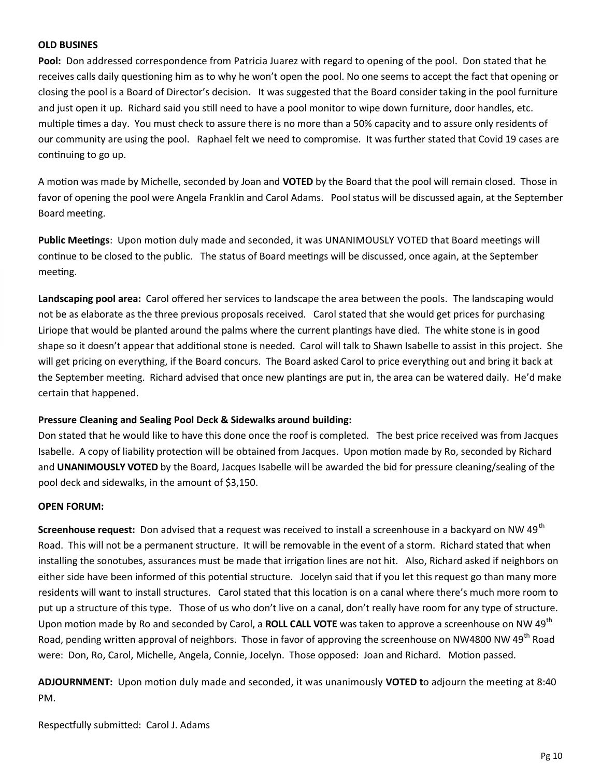#### **OLD BUSINES**

**Pool:** Don addressed correspondence from Patricia Juarez with regard to opening of the pool. Don stated that he receives calls daily questioning him as to why he won't open the pool. No one seems to accept the fact that opening or closing the pool is a Board of Director's decision. It was suggested that the Board consider taking in the pool furniture and just open it up. Richard said you still need to have a pool monitor to wipe down furniture, door handles, etc. multiple times a day. You must check to assure there is no more than a 50% capacity and to assure only residents of our community are using the pool. Raphael felt we need to compromise. It was further stated that Covid 19 cases are continuing to go up.

A motion was made by Michelle, seconded by Joan and **VOTED** by the Board that the pool will remain closed. Those in favor of opening the pool were Angela Franklin and Carol Adams. Pool status will be discussed again, at the September Board meeting.

**Public Meetings**: Upon motion duly made and seconded, it was UNANIMOUSLY VOTED that Board meetings will continue to be closed to the public. The status of Board meetings will be discussed, once again, at the September meeting.

**Landscaping pool area:** Carol offered her services to landscape the area between the pools. The landscaping would not be as elaborate as the three previous proposals received. Carol stated that she would get prices for purchasing Liriope that would be planted around the palms where the current plantings have died. The white stone is in good shape so it doesn't appear that additional stone is needed. Carol will talk to Shawn Isabelle to assist in this project. She will get pricing on everything, if the Board concurs. The Board asked Carol to price everything out and bring it back at the September meeting. Richard advised that once new plantings are put in, the area can be watered daily. He'd make certain that happened.

### **Pressure Cleaning and Sealing Pool Deck & Sidewalks around building:**

Don stated that he would like to have this done once the roof is completed. The best price received was from Jacques Isabelle. A copy of liability protection will be obtained from Jacques. Upon motion made by Ro, seconded by Richard and **UNANIMOUSLY VOTED** by the Board, Jacques Isabelle will be awarded the bid for pressure cleaning/sealing of the pool deck and sidewalks, in the amount of \$3,150.

#### **OPEN FORUM:**

**Screenhouse request:** Don advised that a request was received to install a screenhouse in a backyard on NW 49<sup>th</sup> Road. This will not be a permanent structure. It will be removable in the event of a storm. Richard stated that when installing the sonotubes, assurances must be made that irrigation lines are not hit. Also, Richard asked if neighbors on either side have been informed of this potential structure. Jocelyn said that if you let this request go than many more residents will want to install structures. Carol stated that this location is on a canal where there's much more room to put up a structure of this type. Those of us who don't live on a canal, don't really have room for any type of structure. Upon motion made by Ro and seconded by Carol, a **ROLL CALL VOTE** was taken to approve a screenhouse on NW 49<sup>th</sup> Road, pending written approval of neighbors. Those in favor of approving the screenhouse on NW4800 NW 49<sup>th</sup> Road were: Don, Ro, Carol, Michelle, Angela, Connie, Jocelyn. Those opposed: Joan and Richard. Motion passed.

**ADJOURNMENT:** Upon motion duly made and seconded, it was unanimously **VOTED t**o adjourn the meeting at 8:40 PM.

Respectfully submitted: Carol J. Adams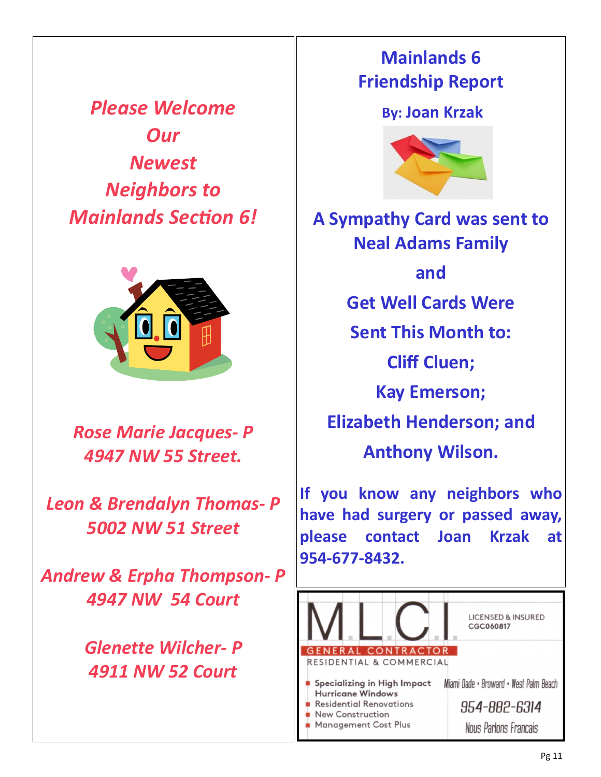*Please Welcome Our Newest Neighbors to Mainlands Section 6!*



*Rose Marie Jacques- P 4947 NW 55 Street.*

*Leon & Brendalyn Thomas- P 5002 NW 51 Street*

*Andrew & Erpha Thompson- P 4947 NW 54 Court*

> *Glenette Wilcher- P 4911 NW 52 Court*

# **Mainlands 6 Friendship Report**

# **By: Joan Krzak**



**A Sympathy Card was sent to Neal Adams Family and Get Well Cards Were Sent This Month to: Cliff Cluen; Kay Emerson; Elizabeth Henderson; and Anthony Wilson.**

**If you know any neighbors who have had surgery or passed away, please contact Joan Krzak at 954-677-8432.**